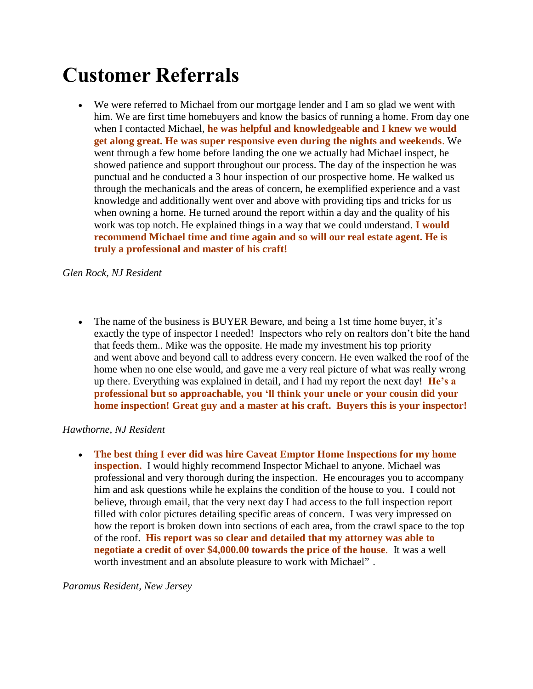# **Customer Referrals**

 We were referred to Michael from our mortgage lender and I am so glad we went with him. We are first time homebuyers and know the basics of running a home. From day one when I contacted Michael, **he was helpful and knowledgeable and I knew we would get along great. He was super responsive even during the nights and weekends**. We went through a few home before landing the one we actually had Michael inspect, he showed patience and support throughout our process. The day of the inspection he was punctual and he conducted a 3 hour inspection of our prospective home. He walked us through the mechanicals and the areas of concern, he exemplified experience and a vast knowledge and additionally went over and above with providing tips and tricks for us when owning a home. He turned around the report within a day and the quality of his work was top notch. He explained things in a way that we could understand. **I would recommend Michael time and time again and so will our real estate agent. He is truly a professional and master of his craft!**

*Glen Rock, NJ Resident*

 The name of the business is BUYER Beware, and being a 1st time home buyer, it's exactly the type of inspector I needed! Inspectors who rely on realtors don't bite the hand that feeds them.. Mike was the opposite. He made my investment his top priority and went above and beyond call to address every concern. He even walked the roof of the home when no one else would, and gave me a very real picture of what was really wrong up there. Everything was explained in detail, and I had my report the next day! **He's a professional but so approachable, you 'll think your uncle or your cousin did your home inspection! Great guy and a master at his craft. Buyers this is your inspector!**

# *Hawthorne, NJ Resident*

 **The best thing I ever did was hire Caveat Emptor Home Inspections for my home inspection.** I would highly recommend Inspector Michael to anyone. Michael was professional and very thorough during the inspection. He encourages you to accompany him and ask questions while he explains the condition of the house to you. I could not believe, through email, that the very next day I had access to the full inspection report filled with color pictures detailing specific areas of concern. I was very impressed on how the report is broken down into sections of each area, from the crawl space to the top of the roof. **His report was so clear and detailed that my attorney was able to negotiate a credit of over \$4,000.00 towards the price of the house**. It was a well worth investment and an absolute pleasure to work with Michael" .

*Paramus Resident, New Jersey*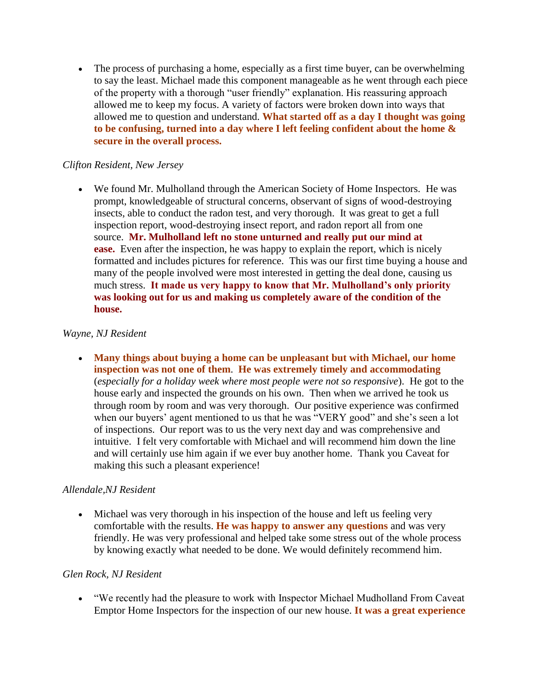The process of purchasing a home, especially as a first time buyer, can be overwhelming to say the least. Michael made this component manageable as he went through each piece of the property with a thorough "user friendly" explanation. His reassuring approach allowed me to keep my focus. A variety of factors were broken down into ways that allowed me to question and understand. **What started off as a day I thought was going to be confusing, turned into a day where I left feeling confident about the home & secure in the overall process.**

#### *Clifton Resident, New Jersey*

 We found Mr. Mulholland through the American Society of Home Inspectors. He was prompt, knowledgeable of structural concerns, observant of signs of wood-destroying insects, able to conduct the radon test, and very thorough. It was great to get a full inspection report, wood-destroying insect report, and radon report all from one source. **Mr. Mulholland left no stone unturned and really put our mind at ease.** Even after the inspection, he was happy to explain the report, which is nicely formatted and includes pictures for reference. This was our first time buying a house and many of the people involved were most interested in getting the deal done, causing us much stress. **It made us very happy to know that Mr. Mulholland's only priority was looking out for us and making us completely aware of the condition of the house.**

#### *Wayne, NJ Resident*

 **Many things about buying a home can be unpleasant but with Michael, our home inspection was not one of them**. **He was extremely timely and accommodating** (*especially for a holiday week where most people were not so responsive*). He got to the house early and inspected the grounds on his own. Then when we arrived he took us through room by room and was very thorough. Our positive experience was confirmed when our buyers' agent mentioned to us that he was "VERY good" and she's seen a lot of inspections. Our report was to us the very next day and was comprehensive and intuitive. I felt very comfortable with Michael and will recommend him down the line and will certainly use him again if we ever buy another home. Thank you Caveat for making this such a pleasant experience!

#### *Allendale,NJ Resident*

 Michael was very thorough in his inspection of the house and left us feeling very comfortable with the results. **He was happy to answer any questions** and was very friendly. He was very professional and helped take some stress out of the whole process by knowing exactly what needed to be done. We would definitely recommend him.

#### *Glen Rock, NJ Resident*

 "We recently had the pleasure to work with Inspector Michael Mudholland From Caveat Emptor Home Inspectors for the inspection of our new house. **It was a great experience**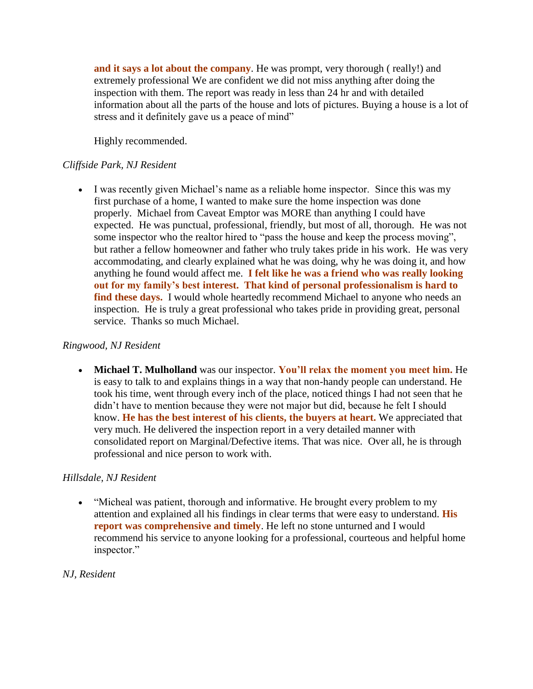**and it says a lot about the company**. He was prompt, very thorough ( really!) and extremely professional We are confident we did not miss anything after doing the inspection with them. The report was ready in less than 24 hr and with detailed information about all the parts of the house and lots of pictures. Buying a house is a lot of stress and it definitely gave us a peace of mind"

Highly recommended.

## *Cliffside Park, NJ Resident*

 I was recently given Michael's name as a reliable home inspector. Since this was my first purchase of a home, I wanted to make sure the home inspection was done properly. Michael from Caveat Emptor was MORE than anything I could have expected. He was punctual, professional, friendly, but most of all, thorough. He was not some inspector who the realtor hired to "pass the house and keep the process moving", but rather a fellow homeowner and father who truly takes pride in his work. He was very accommodating, and clearly explained what he was doing, why he was doing it, and how anything he found would affect me. **I felt like he was a friend who was really looking out for my family's best interest. That kind of personal professionalism is hard to find these days.** I would whole heartedly recommend Michael to anyone who needs an inspection. He is truly a great professional who takes pride in providing great, personal service. Thanks so much Michael.

#### *Ringwood, NJ Resident*

 **Michael T. Mulholland** was our inspector. **You'll relax the moment you meet him.** He is easy to talk to and explains things in a way that non-handy people can understand. He took his time, went through every inch of the place, noticed things I had not seen that he didn't have to mention because they were not major but did, because he felt I should know. **He has the best interest of his clients, the buyers at heart.** We appreciated that very much. He delivered the inspection report in a very detailed manner with consolidated report on Marginal/Defective items. That was nice. Over all, he is through professional and nice person to work with.

#### *Hillsdale, NJ Resident*

 "Micheal was patient, thorough and informative. He brought every problem to my attention and explained all his findings in clear terms that were easy to understand. **His report was comprehensive and timely**. He left no stone unturned and I would recommend his service to anyone looking for a professional, courteous and helpful home inspector."

#### *NJ, Resident*